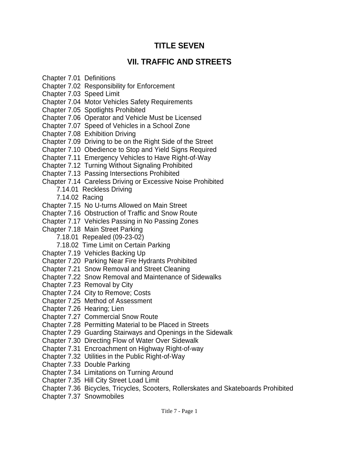# **TITLE SEVEN**

# **VII. TRAFFIC AND STREETS**

- Chapter 7.01 Definitions
- Chapter 7.02 Responsibility for Enforcement
- Chapter 7.03 Speed Limit
- Chapter 7.04 Motor Vehicles Safety Requirements
- Chapter 7.05 Spotlights Prohibited
- Chapter 7.06 Operator and Vehicle Must be Licensed
- Chapter 7.07 Speed of Vehicles in a School Zone
- Chapter 7.08 Exhibition Driving
- Chapter 7.09 Driving to be on the Right Side of the Street
- Chapter 7.10 Obedience to Stop and Yield Signs Required
- Chapter 7.11 Emergency Vehicles to Have Right-of-Way
- Chapter 7.12 Turning Without Signaling Prohibited
- Chapter 7.13 Passing Intersections Prohibited
- Chapter 7.14 Careless Driving or Excessive Noise Prohibited
	- 7.14.01 Reckless Driving
	- 7.14.02 Racing
- Chapter 7.15 No U-turns Allowed on Main Street
- Chapter 7.16 Obstruction of Traffic and Snow Route
- Chapter 7.17 Vehicles Passing in No Passing Zones
- Chapter 7.18 Main Street Parking
	- 7.18.01 Repealed (09-23-02)
	- 7.18.02 Time Limit on Certain Parking
- Chapter 7.19 Vehicles Backing Up
- Chapter 7.20 Parking Near Fire Hydrants Prohibited
- Chapter 7.21 Snow Removal and Street Cleaning
- Chapter 7.22 Snow Removal and Maintenance of Sidewalks
- Chapter 7.23 Removal by City
- Chapter 7.24 City to Remove; Costs
- Chapter 7.25 Method of Assessment
- Chapter 7.26 Hearing; Lien
- Chapter 7.27 Commercial Snow Route
- Chapter 7.28 Permitting Material to be Placed in Streets
- Chapter 7.29 Guarding Stairways and Openings in the Sidewalk
- Chapter 7.30 Directing Flow of Water Over Sidewalk
- Chapter 7.31 Encroachment on Highway Right-of-way
- Chapter 7.32 Utilities in the Public Right-of-Way
- Chapter 7.33 Double Parking
- Chapter 7.34 Limitations on Turning Around
- Chapter 7.35 Hill City Street Load Limit
- Chapter 7.36 Bicycles, Tricycles, Scooters, Rollerskates and Skateboards Prohibited
- Chapter 7.37 Snowmobiles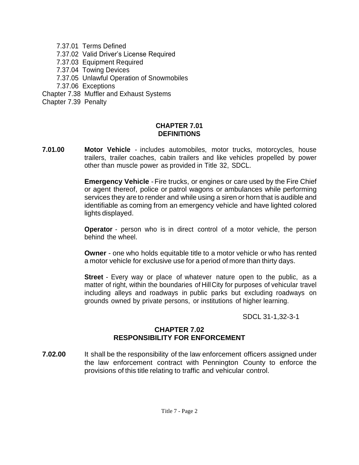- 7.37.01 Terms Defined
- 7.37.02 Valid Driver's License Required
- 7.37.03 Equipment Required
- 7.37.04 Towing Devices
- 7.37.05 Unlawful Operation of Snowmobiles
- 7.37.06 Exceptions
- Chapter 7.38 Muffler and Exhaust Systems
- Chapter 7.39 Penalty

## **CHAPTER 7.01 DEFINITIONS**

**7.01.00 Motor Vehicle** - includes automobiles, motor trucks, motorcycles, house trailers, trailer coaches, cabin trailers and like vehicles propelled by power other than muscle power as provided in Title 32, SDCL.

> **Emergency Vehicle** - Fire trucks, or engines or care used by the Fire Chief or agent thereof, police or patrol wagons or ambulances while performing services they are to render and while using a siren or horn that is audible and identifiable as coming from an emergency vehicle and have lighted colored lights displayed.

> **Operator** - person who is in direct control of a motor vehicle, the person behind the wheel.

> **Owner** - one who holds equitable title to a motor vehicle or who has rented a motor vehicle for exclusive use for a period of more than thirty days.

> **Street** - Every way or place of whatever nature open to the public, as a matter of right, within the boundaries of HillCity for purposes of vehicular travel including alleys and roadways in public parks but excluding roadways on grounds owned by private persons, or institutions of higher learning.

> > SDCL 31-1,32-3-1

## **CHAPTER 7.02 RESPONSIBILITY FOR ENFORCEMENT**

**7.02.00** It shall be the responsibility of the law enforcement officers assigned under the law enforcement contract with Pennington County to enforce the provisions of this title relating to traffic and vehicular control.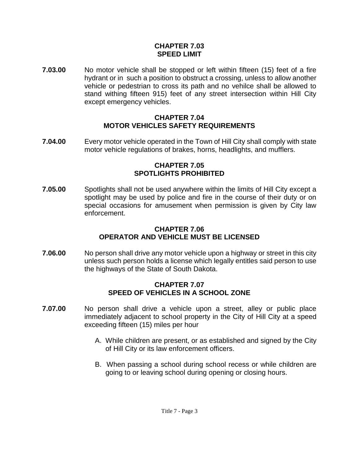### **CHAPTER 7.03 SPEED LIMIT**

**7.03.00** No motor vehicle shall be stopped or left within fifteen (15) feet of a fire hydrant or in such a position to obstruct a crossing, unless to allow another vehicle or pedestrian to cross its path and no vehilce shall be allowed to stand withing fifteen 915) feet of any street intersection within Hill City except emergency vehicles.

#### **CHAPTER 7.04 MOTOR VEHICLES SAFETY REQUIREMENTS**

**7.04.00** Every motor vehicle operated in the Town of Hill City shall comply with state motor vehicle regulations of brakes, horns, headlights, and mufflers.

#### **CHAPTER 7.05 SPOTLIGHTS PROHIBITED**

**7.05.00** Spotlights shall not be used anywhere within the limits of Hill City except a spotlight may be used by police and fire in the course of their duty or on special occasions for amusement when permission is given by City law enforcement.

#### **CHAPTER 7.06 OPERATOR AND VEHICLE MUST BE LICENSED**

**7.06.00** No person shall drive any motor vehicle upon a highway or street in this city unless such person holds a license which legally entitles said person to use the highways of the State of South Dakota.

#### **CHAPTER 7.07 SPEED OF VEHICLES IN A SCHOOL ZONE**

- **7.07.00** No person shall drive a vehicle upon a street, alley or public place immediately adjacent to school property in the City of Hill City at a speed exceeding fifteen (15) miles per hour
	- A. While children are present, or as established and signed by the City of Hill City or its law enforcement officers.
	- B. When passing a school during school recess or while children are going to or leaving school during opening or closing hours.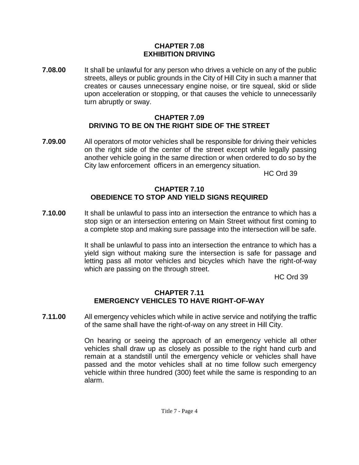#### **CHAPTER 7.08 EXHIBITION DRIVING**

**7.08.00** It shall be unlawful for any person who drives a vehicle on any of the public streets, alleys or public grounds in the City of Hill City in such a manner that creates or causes unnecessary engine noise, or tire squeal, skid or slide upon acceleration or stopping, or that causes the vehicle to unnecessarily turn abruptly or sway.

#### **CHAPTER 7.09 DRIVING TO BE ON THE RIGHT SIDE OF THE STREET**

**7.09.00** All operators of motor vehicles shall be responsible for driving their vehicles on the right side of the center of the street except while legally passing another vehicle going in the same direction or when ordered to do so by the City law enforcement officers in an emergency situation.

HC Ord 39

### **CHAPTER 7.10 OBEDIENCE TO STOP AND YIELD SIGNS REQUIRED**

**7.10.00** It shall be unlawful to pass into an intersection the entrance to which has a stop sign or an intersection entering on Main Street without first coming to a complete stop and making sure passage into the intersection will be safe.

> It shall be unlawful to pass into an intersection the entrance to which has a yield sign without making sure the intersection is safe for passage and letting pass all motor vehicles and bicycles which have the right-of-way which are passing on the through street.

HC Ord 39

## **CHAPTER 7.11 EMERGENCY VEHICLES TO HAVE RIGHT-OF-WAY**

**7.11.00** All emergency vehicles which while in active service and notifying the traffic of the same shall have the right-of-way on any street in Hill City.

> On hearing or seeing the approach of an emergency vehicle all other vehicles shall draw up as closely as possible to the right hand curb and remain at a standstill until the emergency vehicle or vehicles shall have passed and the motor vehicles shall at no time follow such emergency vehicle within three hundred (300) feet while the same is responding to an alarm.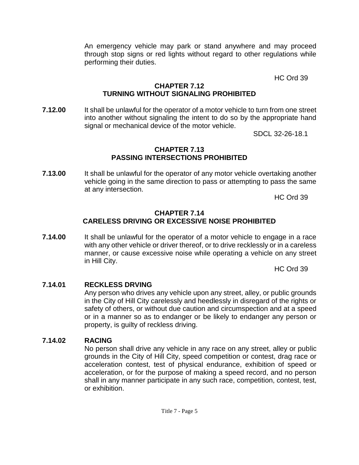An emergency vehicle may park or stand anywhere and may proceed through stop signs or red lights without regard to other regulations while performing their duties.

HC Ord 39

#### **CHAPTER 7.12 TURNING WITHOUT SIGNALING PROHIBITED**

**7.12.00** It shall be unlawful for the operator of a motor vehicle to turn from one street into another without signaling the intent to do so by the appropriate hand signal or mechanical device of the motor vehicle.

SDCL 32-26-18.1

## **CHAPTER 7.13 PASSING INTERSECTIONS PROHIBITED**

**7.13.00** It shall be unlawful for the operator of any motor vehicle overtaking another vehicle going in the same direction to pass or attempting to pass the same at any intersection.

HC Ord 39

#### **CHAPTER 7.14 CARELESS DRIVING OR EXCESSIVE NOISE PROHIBITED**

**7.14.00** It shall be unlawful for the operator of a motor vehicle to engage in a race with any other vehicle or driver thereof, or to drive recklessly or in a careless manner, or cause excessive noise while operating a vehicle on any street in Hill City.

HC Ord 39

## **7.14.01 RECKLESS DRVING**

Any person who drives any vehicle upon any street, alley, or public grounds in the City of Hill City carelessly and heedlessly in disregard of the rights or safety of others, or without due caution and circumspection and at a speed or in a manner so as to endanger or be likely to endanger any person or property, is guilty of reckless driving.

## **7.14.02 RACING**

No person shall drive any vehicle in any race on any street, alley or public grounds in the City of Hill City, speed competition or contest, drag race or acceleration contest, test of physical endurance, exhibition of speed or acceleration, or for the purpose of making a speed record, and no person shall in any manner participate in any such race, competition, contest, test, or exhibition.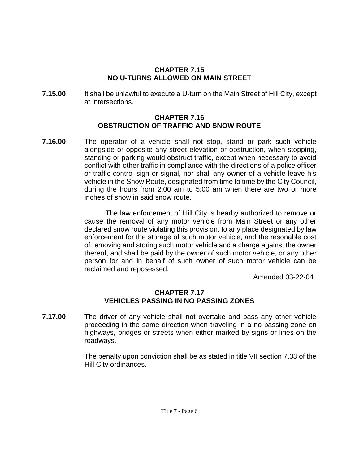#### **CHAPTER 7.15 NO U-TURNS ALLOWED ON MAIN STREET**

**7.15.00** It shall be unlawful to execute a U-turn on the Main Street of Hill City, except at intersections.

#### **CHAPTER 7.16 OBSTRUCTION OF TRAFFIC AND SNOW ROUTE**

**7.16.00** The operator of a vehicle shall not stop, stand or park such vehicle alongside or opposite any street elevation or obstruction, when stopping, standing or parking would obstruct traffic, except when necessary to avoid conflict with other traffic in compliance with the directions of a police officer or traffic-control sign or signal, nor shall any owner of a vehicle leave his vehicle in the Snow Route, designated from time to time by the City Council, during the hours from 2:00 am to 5:00 am when there are two or more inches of snow in said snow route.

> The law enforcement of Hill City is hearby authorized to remove or cause the removal of any motor vehicle from Main Street or any other declared snow route violating this provision, to any place designated by law enforcement for the storage of such motor vehicle, and the resonable cost of removing and storing such motor vehicle and a charge against the owner thereof, and shall be paid by the owner of such motor vehicle, or any other person for and in behalf of such owner of such motor vehicle can be reclaimed and reposessed.

Amended 03-22-04

## **CHAPTER 7.17 VEHICLES PASSING IN NO PASSING ZONES**

**7.17.00** The driver of any vehicle shall not overtake and pass any other vehicle proceeding in the same direction when traveling in a no-passing zone on highways, bridges or streets when either marked by signs or lines on the roadways.

> The penalty upon conviction shall be as stated in title VII section 7.33 of the Hill City ordinances.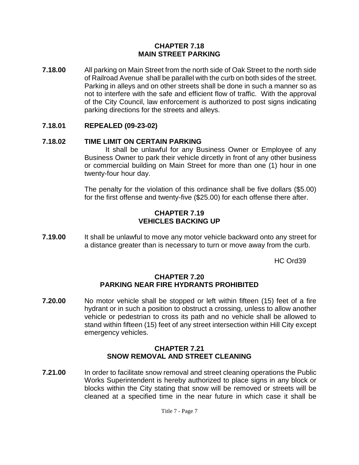#### **CHAPTER 7.18 MAIN STREET PARKING**

**7.18.00** All parking on Main Street from the north side of Oak Street to the north side of Railroad Avenue shall be parallel with the curb on both sides of the street. Parking in alleys and on other streets shall be done in such a manner so as not to interfere with the safe and efficient flow of traffic. With the approval of the City Council, law enforcement is authorized to post signs indicating parking directions for the streets and alleys.

## **7.18.01 REPEALED (09-23-02)**

## **7.18.02 TIME LIMIT ON CERTAIN PARKING**

It shall be unlawful for any Business Owner or Employee of any Business Owner to park their vehicle dircetly in front of any other business or commercial building on Main Street for more than one (1) hour in one twenty-four hour day.

The penalty for the violation of this ordinance shall be five dollars (\$5.00) for the first offense and twenty-five (\$25.00) for each offense there after.

### **CHAPTER 7.19 VEHICLES BACKING UP**

**7.19.00** It shall be unlawful to move any motor vehicle backward onto any street for a distance greater than is necessary to turn or move away from the curb.

HC Ord39

#### **CHAPTER 7.20 PARKING NEAR FIRE HYDRANTS PROHIBITED**

**7.20.00** No motor vehicle shall be stopped or left within fifteen (15) feet of a fire hydrant or in such a position to obstruct a crossing, unless to allow another vehicle or pedestrian to cross its path and no vehicle shall be allowed to stand within fifteen (15) feet of any street intersection within Hill City except emergency vehicles.

#### **CHAPTER 7.21 SNOW REMOVAL AND STREET CLEANING**

**7.21.00** In order to facilitate snow removal and street cleaning operations the Public Works Superintendent is hereby authorized to place signs in any block or blocks within the City stating that snow will be removed or streets will be cleaned at a specified time in the near future in which case it shall be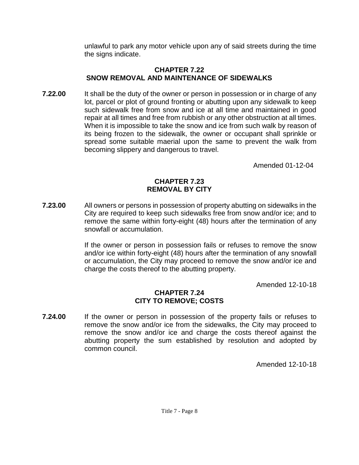unlawful to park any motor vehicle upon any of said streets during the time the signs indicate.

#### **CHAPTER 7.22 SNOW REMOVAL AND MAINTENANCE OF SIDEWALKS**

**7.22.00** It shall be the duty of the owner or person in possession or in charge of any lot, parcel or plot of ground fronting or abutting upon any sidewalk to keep such sidewalk free from snow and ice at all time and maintained in good repair at all times and free from rubbish or any other obstruction at all times. When it is impossible to take the snow and ice from such walk by reason of its being frozen to the sidewalk, the owner or occupant shall sprinkle or spread some suitable maerial upon the same to prevent the walk from becoming slippery and dangerous to travel.

Amended 01-12-04

#### **CHAPTER 7.23 REMOVAL BY CITY**

**7.23.00** All owners or persons in possession of property abutting on sidewalks in the City are required to keep such sidewalks free from snow and/or ice; and to remove the same within forty-eight (48) hours after the termination of any snowfall or accumulation.

> If the owner or person in possession fails or refuses to remove the snow and/or ice within forty-eight (48) hours after the termination of any snowfall or accumulation, the City may proceed to remove the snow and/or ice and charge the costs thereof to the abutting property.

> > Amended 12-10-18

#### **CHAPTER 7.24 CITY TO REMOVE; COSTS**

**7.24.00** If the owner or person in possession of the property fails or refuses to remove the snow and/or ice from the sidewalks, the City may proceed to remove the snow and/or ice and charge the costs thereof against the abutting property the sum established by resolution and adopted by common council.

Amended 12-10-18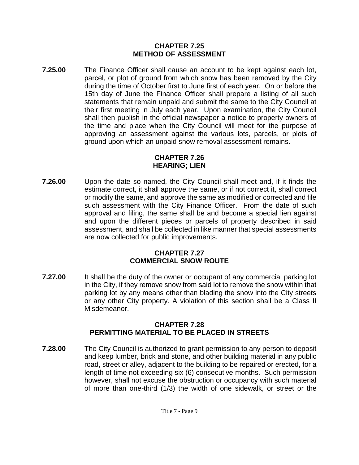## **CHAPTER 7.25 METHOD OF ASSESSMENT**

**7.25.00** The Finance Officer shall cause an account to be kept against each lot, parcel, or plot of ground from which snow has been removed by the City during the time of October first to June first of each year. On or before the 15th day of June the Finance Officer shall prepare a listing of all such statements that remain unpaid and submit the same to the City Council at their first meeting in July each year. Upon examination, the City Council shall then publish in the official newspaper a notice to property owners of the time and place when the City Council will meet for the purpose of approving an assessment against the various lots, parcels, or plots of ground upon which an unpaid snow removal assessment remains.

## **CHAPTER 7.26 HEARING; LIEN**

**7.26.00** Upon the date so named, the City Council shall meet and, if it finds the estimate correct, it shall approve the same, or if not correct it, shall correct or modify the same, and approve the same as modified or corrected and file such assessment with the City Finance Officer. From the date of such approval and filing, the same shall be and become a special lien against and upon the different pieces or parcels of property described in said assessment, and shall be collected in like manner that special assessments are now collected for public improvements.

## **CHAPTER 7.27 COMMERCIAL SNOW ROUTE**

**7.27.00** It shall be the duty of the owner or occupant of any commercial parking lot in the City, if they remove snow from said lot to remove the snow within that parking lot by any means other than blading the snow into the City streets or any other City property. A violation of this section shall be a Class II Misdemeanor.

## **CHAPTER 7.28 PERMITTING MATERIAL TO BE PLACED IN STREETS**

**7.28.00** The City Council is authorized to grant permission to any person to deposit and keep lumber, brick and stone, and other building material in any public road, street or alley, adjacent to the building to be repaired or erected, for a length of time not exceeding six (6) consecutive months. Such permission however, shall not excuse the obstruction or occupancy with such material of more than one-third (1/3) the width of one sidewalk, or street or the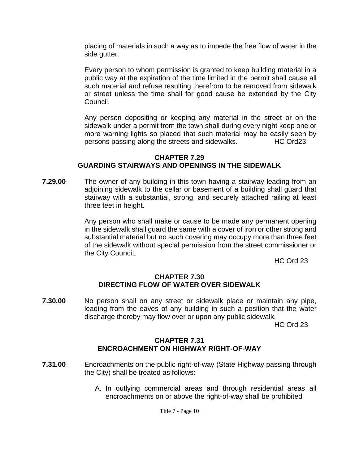placing of materials in such a way as to impede the free flow of water in the side gutter.

Every person to whom permission is granted to keep building material in a public way at the expiration of the time limited in the permit shall cause all such material and refuse resulting therefrom to be removed from sidewalk or street unless the time shall for good cause be extended by the City Council.

Any person depositing or keeping any material in the street or on the sidewalk under a permit from the town shall during every night keep one or more warning lights so placed that such material may be easily seen by persons passing along the streets and sidewalks. HC Ord23

## **CHAPTER 7.29 GUARDING STAIRWAYS AND OPENINGS IN THE SIDEWALK**

**7.29.00** The owner of any building in this town having a stairway leading from an adjoining sidewalk to the cellar or basement of a building shall guard that stairway with a substantial, strong, and securely attached railing at least three feet in height.

> Any person who shall make or cause to be made any permanent opening in the sidewalk shall guard the same with a cover of iron or other strong and substantial material but no such covering may occupy more than three feet of the sidewalk without special permission from the street commissioner or the City CounciL

HC Ord 23

#### **CHAPTER 7.30 DIRECTING FLOW OF WATER OVER SIDEWALK**

**7.30.00** No person shall on any street or sidewalk place or maintain any pipe, leading from the eaves of any building in such a position that the water discharge thereby may flow over or upon any public sidewalk.

HC Ord 23

#### **CHAPTER 7.31 ENCROACHMENT ON HIGHWAY RIGHT-OF-WAY**

- **7.31.00** Encroachments on the public right-of-way (State Highway passing through the City) shall be treated as follows:
	- A. In outlying commercial areas and through residential areas all encroachments on or above the right-of-way shall be prohibited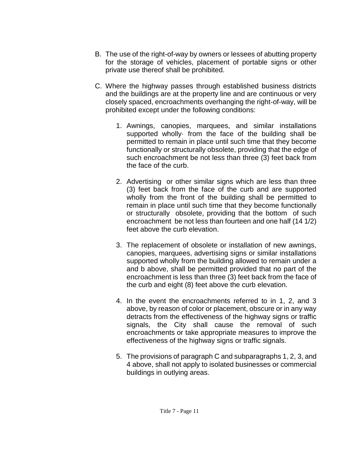- B. The use of the right-of-way by owners or lessees of abutting property for the storage of vehicles, placement of portable signs or other private use thereof shall be prohibited.
- C. Where the highway passes through established business districts and the buildings are at the property line and are continuous or very closely spaced, encroachments overhanging the right-of-way, will be prohibited except under the following conditions:
	- 1. Awnings, canopies, marquees, and similar installations supported wholly· from the face of the building shall be permitted to remain in place until such time that they become functionally or structurally obsolete, providing that the edge of such encroachment be not less than three (3) feet back from the face of the curb.
	- 2. Advertising or other similar signs which are less than three (3) feet back from the face of the curb and are supported wholly from the front of the building shall be permitted to remain in place until such time that they become functionally or structurally obsolete, providing that the bottom of such encroachment be not less than fourteen and one half (14 1/2) feet above the curb elevation.
	- 3. The replacement of obsolete or installation of new awnings, canopies, marquees, advertising signs or similar installations supported wholly from the building allowed to remain under a and b above, shall be permitted provided that no part of the encroachment is less than three (3) feet back from the face of the curb and eight (8) feet above the curb elevation.
	- 4. In the event the encroachments referred to in 1, 2, and 3 above, by reason of color or placement, obscure or in any way detracts from the effectiveness of the highway signs or traffic signals, the City shall cause the removal of such encroachments or take appropriate measures to improve the effectiveness of the highway signs or traffic signals.
	- 5. The provisions of paragraph C and subparagraphs 1, 2, 3, and 4 above, shall not apply to isolated businesses or commercial buildings in outlying areas.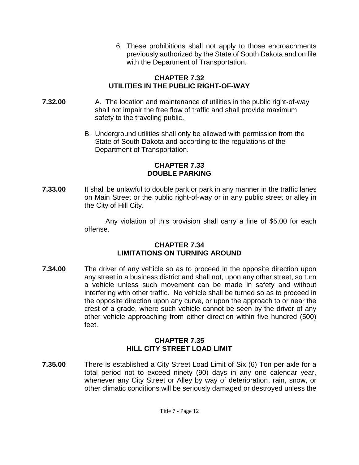6. These prohibitions shall not apply to those encroachments previously authorized by the State of South Dakota and on file with the Department of Transportation.

## **CHAPTER 7.32 UTILITIES IN THE PUBLIC RIGHT-OF-WAY**

- **7.32.00** A. The location and maintenance of utilities in the public right-of-way shall not impair the free flow of traffic and shall provide maximum safety to the traveling public.
	- B. Underground utilities shall only be allowed with permission from the State of South Dakota and according to the regulations of the Department of Transportation.

#### **CHAPTER 7.33 DOUBLE PARKING**

**7.33.00** It shall be unlawful to double park or park in any manner in the traffic lanes on Main Street or the public right-of-way or in any public street or alley in the City of Hill City.

> Any violation of this provision shall carry a fine of \$5.00 for each offense.

#### **CHAPTER 7.34 LIMITATIONS ON TURNING AROUND**

**7.34.00** The driver of any vehicle so as to proceed in the opposite direction upon any street in a business district and shall not, upon any other street, so turn a vehicle unless such movement can be made in safety and without interfering with other traffic. No vehicle shall be turned so as to proceed in the opposite direction upon any curve, or upon the approach to or near the crest of a grade, where such vehicle cannot be seen by the driver of any other vehicle approaching from either direction within five hundred (500) feet.

## **CHAPTER 7.35 HILL CITY STREET LOAD LIMIT**

**7.35.00** There is established a City Street Load Limit of Six (6) Ton per axle for a total period not to exceed ninety (90) days in any one calendar year, whenever any City Street or Alley by way of deterioration, rain, snow, or other climatic conditions will be seriously damaged or destroyed unless the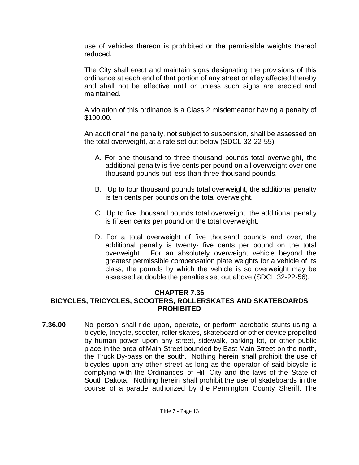use of vehicles thereon is prohibited or the permissible weights thereof reduced.

The City shall erect and maintain signs designating the provisions of this ordinance at each end of that portion of any street or alley affected thereby and shall not be effective until or unless such signs are erected and maintained.

A violation of this ordinance is a Class 2 misdemeanor having a penalty of \$100.00.

An additional fine penalty, not subject to suspension, shall be assessed on the total overweight, at a rate set out below (SDCL 32-22-55).

- A. For one thousand to three thousand pounds total overweight, the additional penalty is five cents per pound on all overweight over one thousand pounds but less than three thousand pounds.
- B. Up to four thousand pounds total overweight, the additional penalty is ten cents per pounds on the total overweight.
- C. Up to five thousand pounds total overweight, the additional penalty is fifteen cents per pound on the total overweight.
- D. For a total overweight of five thousand pounds and over, the additional penalty is twenty- five cents per pound on the total overweight. For an absolutely overweight vehicle beyond the greatest permissible compensation plate weights for a vehicle of its class, the pounds by which the vehicle is so overweight may be assessed at double the penalties set out above (SDCL 32-22-56).

## **CHAPTER 7.36**

## **BICYCLES, TRICYCLES, SCOOTERS, ROLLERSKATES AND SKATEBOARDS PROHIBITED**

**7.36.00** No person shall ride upon, operate, or perform acrobatic stunts using a bicycle, tricycle, scooter, roller skates, skateboard or other device propelled by human power upon any street, sidewalk, parking lot, or other public place in the area of Main Street bounded by East Main Street on the north, the Truck By-pass on the south. Nothing herein shall prohibit the use of bicycles upon any other street as long as the operator of said bicycle is complying with the Ordinances of Hill City and the laws of the State of South Dakota. Nothing herein shall prohibit the use of skateboards in the course of a parade authorized by the Pennington County Sheriff. The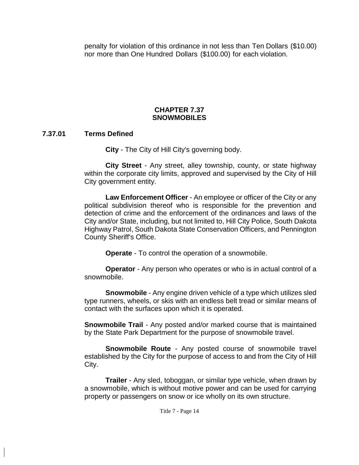penalty for violation of this ordinance in not less than Ten Dollars (\$10.00) nor more than One Hundred Dollars (\$100.00) for each violation.

## **CHAPTER 7.37 SNOWMOBILES**

#### **7.37.01 Terms Defined**

**City** - The City of Hill City's governing body.

**City Street** - Any street, alley township, county, or state highway within the corporate city limits, approved and supervised by the City of Hill City government entity.

**Law Enforcement Officer** - An employee or officer of the City or any political subdivision thereof who is responsible for the prevention and detection of crime and the enforcement of the ordinances and laws of the City and/or State, including, but not limited to, Hill City Police, South Dakota Highway Patrol, South Dakota State Conservation Officers, and Pennington County Sheriff's Office.

**Operate** - To control the operation of a snowmobile.

**Operator** - Any person who operates or who is in actual control of a snowmobile.

**Snowmobile** - Any engine driven vehicle of a type which utilizes sled type runners, wheels, or skis with an endless belt tread or similar means of contact with the surfaces upon which it is operated.

**Snowmobile Trail** - Any posted and/or marked course that is maintained by the State Park Department for the purpose of snowmobile travel.

**Snowmobile Route** - Any posted course of snowmobile travel established by the City for the purpose of access to and from the City of Hill City.

**Trailer** - Any sled, toboggan, or similar type vehicle, when drawn by a snowmobile, which is without motive power and can be used for carrying property or passengers on snow or ice wholly on its own structure.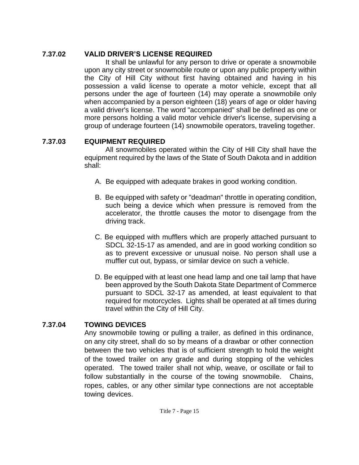## **7.37.02 VALID DRIVER'S LICENSE REQUIRED**

It shall be unlawful for any person to drive or operate a snowmobile upon any city street or snowmobile route or upon any public property within the City of Hill City without first having obtained and having in his possession a valid license to operate a motor vehicle, except that all persons under the age of fourteen (14) may operate a snowmobile only when accompanied by a person eighteen (18) years of age or older having a valid driver's license. The word "accompanied" shall be defined as one or more persons holding a valid motor vehicle driver's license, supervising a group of underage fourteen (14) snowmobile operators, traveling together.

## **7.37.03 EQUIPMENT REQUIRED**

All snowmobiles operated within the City of Hill City shall have the equipment required by the laws of the State of South Dakota and in addition shall:

- A. Be equipped with adequate brakes in good working condition.
- B. Be equipped with safety or "deadman" throttle in operating condition, such being a device which when pressure is removed from the accelerator, the throttle causes the motor to disengage from the driving track.
- C. Be equipped with mufflers which are properly attached pursuant to SDCL 32-15-17 as amended, and are in good working condition so as to prevent excessive or unusual noise. No person shall use a muffler cut out, bypass, or similar device on such a vehicle.
- D. Be equipped with at least one head lamp and one tail lamp that have been approved by the South Dakota State Department of Commerce pursuant to SDCL 32-17 as amended, at least equivalent to that required for motorcycles. Lights shall be operated at all times during travel within the City of Hill City.

## **7.37.04 TOWING DEVICES**

Any snowmobile towing or pulling a trailer, as defined in this ordinance, on any city street, shall do so by means of a drawbar or other connection between the two vehicles that is of sufficient strength to hold the weight of the towed trailer on any grade and during stopping of the vehicles operated. The towed trailer shall not whip, weave, or oscillate or fail to follow substantially in the course of the towing snowmobile. Chains, ropes, cables, or any other similar type connections are not acceptable towing devices.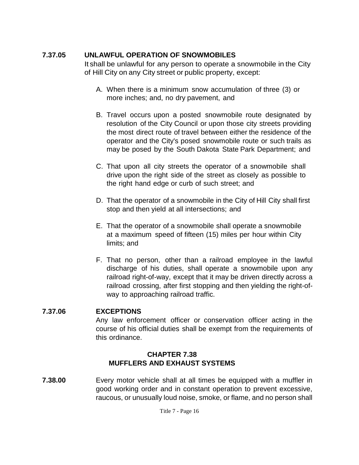## **7.37.05 UNLAWFUL OPERATION OF SNOWMOBILES**

It shall be unlawful for any person to operate a snowmobile in the City of Hill City on any City street or public property, except:

- A. When there is a minimum snow accumulation of three (3) or more inches; and, no dry pavement, and
- B. Travel occurs upon a posted snowmobile route designated by resolution of the City Council or upon those city streets providing the most direct route of travel between either the residence of the operator and the City's posed snowmobile route or such trails as may be posed by the South Dakota State Park Department; and
- C. That upon all city streets the operator of a snowmobile shall drive upon the right side of the street as closely as possible to the right hand edge or curb of such street; and
- D. That the operator of a snowmobile in the City of Hill City shall first stop and then yield at all intersections; and
- E. That the operator of a snowmobile shall operate a snowmobile at a maximum speed of fifteen (15) miles per hour within City limits; and
- F. That no person, other than a railroad employee in the lawful discharge of his duties, shall operate a snowmobile upon any railroad right-of-way, except that it may be driven directly across a railroad crossing, after first stopping and then yielding the right-ofway to approaching railroad traffic.

## **7.37.06 EXCEPTIONS**

Any law enforcement officer or conservation officer acting in the course of his official duties shall be exempt from the requirements of this ordinance.

## **CHAPTER 7.38 MUFFLERS AND EXHAUST SYSTEMS**

**7.38.00** Every motor vehicle shall at all times be equipped with a muffler in good working order and in constant operation to prevent excessive, raucous, or unusually loud noise, smoke, or flame, and no person shall